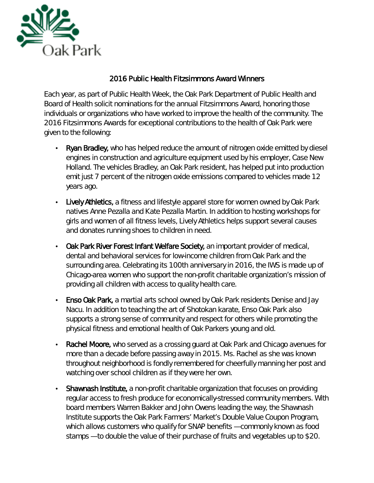

## 2016 Public Health Fitzsimmons Award Winners

Each year, as part of Public Health Week, the Oak Park Department of Public Health and Board of Health solicit nominations for the annual Fitzsimmons Award, honoring those individuals or organizations who have worked to improve the health of the community. The 2016 Fitzsimmons Awards for exceptional contributions to the health of Oak Park were given to the following:

- Ryan Bradley, who has helped reduce the amount of nitrogen oxide emitted by diesel engines in construction and agriculture equipment used by his employer, Case New Holland. The vehicles Bradley, an Oak Park resident, has helped put into production emit just 7 percent of the nitrogen oxide emissions compared to vehicles made 12 years ago.
- Lively Athletics, a fitness and lifestyle apparel store for women owned by Oak Park natives Anne Pezalla and Kate Pezalla Martin. In addition to hosting workshops for girls and women of all fitness levels, Lively Athletics helps support several causes and donates running shoes to children in need.
- Oak Park River Forest Infant Welfare Society, an important provider of medical, dental and behavioral services for low-income children from Oak Park and the surrounding area. Celebrating its 100th anniversary in 2016, the IWS is made up of Chicago-area women who support the non-profit charitable organization's mission of providing all children with access to quality health care.
- Enso Oak Park, a martial arts school owned by Oak Park residents Denise and Jay ¥, Nacu. In addition to teaching the art of Shotokan karate, Enso Oak Park also supports a strong sense of community and respect for others while promoting the physical fitness and emotional health of Oak Parkers young and old.
- Rachel Moore, who served as a crossing guard at Oak Park and Chicago avenues for more than a decade before passing away in 2015. Ms. Rachel as she was known throughout neighborhood is fondly remembered for cheerfully manning her post and watching over school children as if they were her own.
- Shawnash Institute, a non-profit charitable organization that focuses on providing regular access to fresh produce for economically-stressed community members. With board members Warren Bakker and John Owens leading the way, the Shawnash Institute supports the Oak Park Farmers' Market's Double Value Coupon Program, which allows customers who qualify for SNAP benefits — commonly known as food stamps — to double the value of their purchase of fruits and vegetables up to \$20.